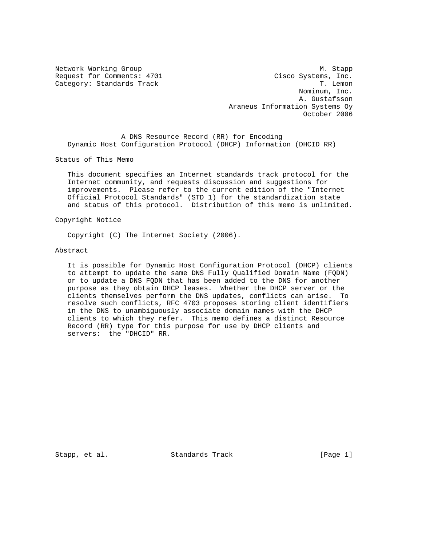Network Working Group Manuscript and Manuscript Manuscript Manuscript Manuscript Manuscript Manuscript Manuscri Request for Comments: 4701 Cisco Systems, Inc. Category: Standards Track Track T. Lemon Nominum, Inc. A. Gustafsson Araneus Information Systems Oy October 2006

 A DNS Resource Record (RR) for Encoding Dynamic Host Configuration Protocol (DHCP) Information (DHCID RR)

Status of This Memo

 This document specifies an Internet standards track protocol for the Internet community, and requests discussion and suggestions for improvements. Please refer to the current edition of the "Internet Official Protocol Standards" (STD 1) for the standardization state and status of this protocol. Distribution of this memo is unlimited.

Copyright Notice

Copyright (C) The Internet Society (2006).

#### Abstract

 It is possible for Dynamic Host Configuration Protocol (DHCP) clients to attempt to update the same DNS Fully Qualified Domain Name (FQDN) or to update a DNS FQDN that has been added to the DNS for another purpose as they obtain DHCP leases. Whether the DHCP server or the clients themselves perform the DNS updates, conflicts can arise. To resolve such conflicts, RFC 4703 proposes storing client identifiers in the DNS to unambiguously associate domain names with the DHCP clients to which they refer. This memo defines a distinct Resource Record (RR) type for this purpose for use by DHCP clients and servers: the "DHCID" RR.

Stapp, et al. Standards Track [Page 1]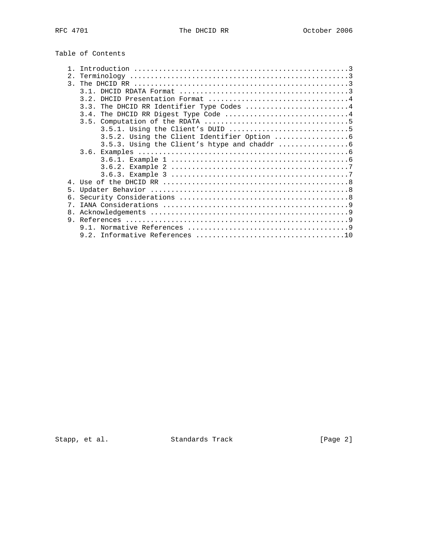| 2 <sub>1</sub> |                                           |
|----------------|-------------------------------------------|
| $\mathcal{R}$  |                                           |
|                |                                           |
|                | DHCID Presentation Format 4<br>3.2.       |
|                | 3.3. The DHCID RR Identifier Type Codes 4 |
|                |                                           |
|                |                                           |
|                |                                           |
|                |                                           |
|                |                                           |
|                |                                           |
|                |                                           |
|                |                                           |
|                |                                           |
| $\overline{4}$ |                                           |
| 5.             |                                           |
| б.             |                                           |
| $7^{\circ}$    |                                           |
| 8.             |                                           |
| 9              |                                           |
|                |                                           |
|                |                                           |
|                |                                           |

Stapp, et al. Standards Track [Page 2]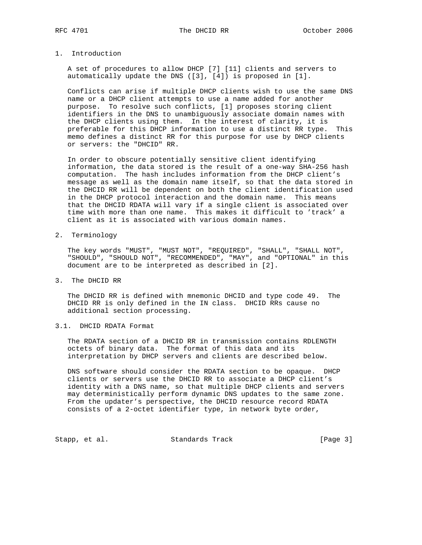### 1. Introduction

 A set of procedures to allow DHCP [7] [11] clients and servers to automatically update the DNS ([3], [4]) is proposed in [1].

 Conflicts can arise if multiple DHCP clients wish to use the same DNS name or a DHCP client attempts to use a name added for another purpose. To resolve such conflicts, [1] proposes storing client identifiers in the DNS to unambiguously associate domain names with the DHCP clients using them. In the interest of clarity, it is preferable for this DHCP information to use a distinct RR type. This memo defines a distinct RR for this purpose for use by DHCP clients or servers: the "DHCID" RR.

 In order to obscure potentially sensitive client identifying information, the data stored is the result of a one-way SHA-256 hash computation. The hash includes information from the DHCP client's message as well as the domain name itself, so that the data stored in the DHCID RR will be dependent on both the client identification used in the DHCP protocol interaction and the domain name. This means that the DHCID RDATA will vary if a single client is associated over time with more than one name. This makes it difficult to 'track' a client as it is associated with various domain names.

2. Terminology

 The key words "MUST", "MUST NOT", "REQUIRED", "SHALL", "SHALL NOT", "SHOULD", "SHOULD NOT", "RECOMMENDED", "MAY", and "OPTIONAL" in this document are to be interpreted as described in [2].

3. The DHCID RR

 The DHCID RR is defined with mnemonic DHCID and type code 49. The DHCID RR is only defined in the IN class. DHCID RRs cause no additional section processing.

### 3.1. DHCID RDATA Format

 The RDATA section of a DHCID RR in transmission contains RDLENGTH octets of binary data. The format of this data and its interpretation by DHCP servers and clients are described below.

 DNS software should consider the RDATA section to be opaque. DHCP clients or servers use the DHCID RR to associate a DHCP client's identity with a DNS name, so that multiple DHCP clients and servers may deterministically perform dynamic DNS updates to the same zone. From the updater's perspective, the DHCID resource record RDATA consists of a 2-octet identifier type, in network byte order,

Stapp, et al. Standards Track [Page 3]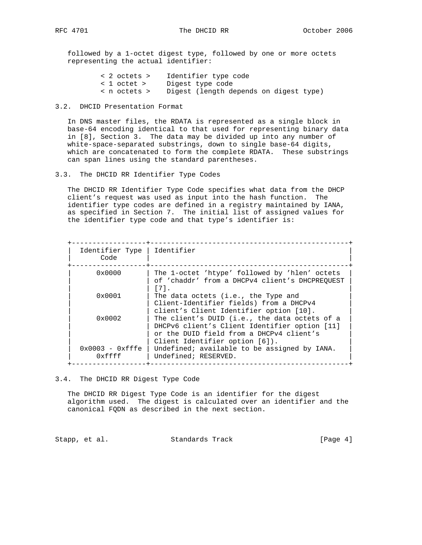followed by a 1-octet digest type, followed by one or more octets representing the actual identifier:

| < 2 octets > | Identifier type code                   |
|--------------|----------------------------------------|
| < 1 octet >  | Digest type code                       |
| < n octets > | Digest (length depends on digest type) |

### 3.2. DHCID Presentation Format

 In DNS master files, the RDATA is represented as a single block in base-64 encoding identical to that used for representing binary data in [8], Section 3. The data may be divided up into any number of white-space-separated substrings, down to single base-64 digits, which are concatenated to form the complete RDATA. These substrings can span lines using the standard parentheses.

3.3. The DHCID RR Identifier Type Codes

 The DHCID RR Identifier Type Code specifies what data from the DHCP client's request was used as input into the hash function. The identifier type codes are defined in a registry maintained by IANA, as specified in Section 7. The initial list of assigned values for the identifier type code and that type's identifier is:

| Identifier Type<br>Code     | Identifier                                                                                                                                                                   |
|-----------------------------|------------------------------------------------------------------------------------------------------------------------------------------------------------------------------|
| $0 \times 0000$             | The 1-octet 'htype' followed by 'hlen' octets<br>of 'chaddr' from a DHCPv4 client's DHCPREOUEST<br>$[7]$ .                                                                   |
| $0 \times 0001$             | The data octets (i.e., the Type and<br>Client-Identifier fields) from a DHCPv4<br>client's Client Identifier option [10].                                                    |
| $0 \times 0002$             | The client's DUID (i.e., the data octets of a<br>DHCPv6 client's Client Identifier option [11]<br>or the DUID field from a DHCPv4 client's<br>Client Identifier option [6]). |
| $0x0003 - 0xfffe$<br>0xffff | Undefined; available to be assigned by IANA.<br>Undefined; RESERVED.                                                                                                         |

#### 3.4. The DHCID RR Digest Type Code

 The DHCID RR Digest Type Code is an identifier for the digest algorithm used. The digest is calculated over an identifier and the canonical FQDN as described in the next section.

Stapp, et al. Standards Track [Page 4]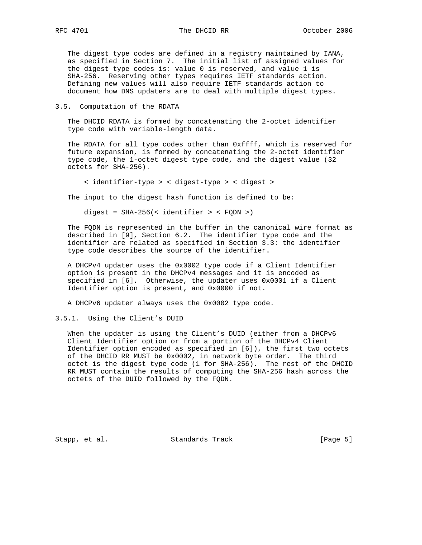The digest type codes are defined in a registry maintained by IANA, as specified in Section 7. The initial list of assigned values for the digest type codes is: value 0 is reserved, and value 1 is SHA-256. Reserving other types requires IETF standards action. Defining new values will also require IETF standards action to document how DNS updaters are to deal with multiple digest types.

3.5. Computation of the RDATA

 The DHCID RDATA is formed by concatenating the 2-octet identifier type code with variable-length data.

 The RDATA for all type codes other than 0xffff, which is reserved for future expansion, is formed by concatenating the 2-octet identifier type code, the 1-octet digest type code, and the digest value (32 octets for SHA-256).

< identifier-type > < digest-type > < digest >

The input to the digest hash function is defined to be:

digest = SHA-256(< identifier > < FQDN >)

 The FQDN is represented in the buffer in the canonical wire format as described in [9], Section 6.2. The identifier type code and the identifier are related as specified in Section 3.3: the identifier type code describes the source of the identifier.

 A DHCPv4 updater uses the 0x0002 type code if a Client Identifier option is present in the DHCPv4 messages and it is encoded as specified in [6]. Otherwise, the updater uses 0x0001 if a Client Identifier option is present, and 0x0000 if not.

A DHCPv6 updater always uses the 0x0002 type code.

3.5.1. Using the Client's DUID

 When the updater is using the Client's DUID (either from a DHCPv6 Client Identifier option or from a portion of the DHCPv4 Client Identifier option encoded as specified in [6]), the first two octets of the DHCID RR MUST be 0x0002, in network byte order. The third octet is the digest type code (1 for SHA-256). The rest of the DHCID RR MUST contain the results of computing the SHA-256 hash across the octets of the DUID followed by the FQDN.

Stapp, et al. Standards Track [Page 5]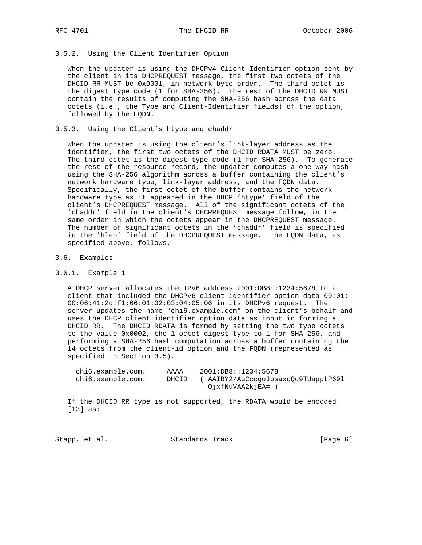# 3.5.2. Using the Client Identifier Option

 When the updater is using the DHCPv4 Client Identifier option sent by the client in its DHCPREQUEST message, the first two octets of the DHCID RR MUST be 0x0001, in network byte order. The third octet is the digest type code (1 for SHA-256). The rest of the DHCID RR MUST contain the results of computing the SHA-256 hash across the data octets (i.e., the Type and Client-Identifier fields) of the option, followed by the FQDN.

### 3.5.3. Using the Client's htype and chaddr

 When the updater is using the client's link-layer address as the identifier, the first two octets of the DHCID RDATA MUST be zero. The third octet is the digest type code (1 for SHA-256). To generate the rest of the resource record, the updater computes a one-way hash using the SHA-256 algorithm across a buffer containing the client's network hardware type, link-layer address, and the FQDN data. Specifically, the first octet of the buffer contains the network hardware type as it appeared in the DHCP 'htype' field of the client's DHCPREQUEST message. All of the significant octets of the 'chaddr' field in the client's DHCPREQUEST message follow, in the same order in which the octets appear in the DHCPREQUEST message. The number of significant octets in the 'chaddr' field is specified in the 'hlen' field of the DHCPREQUEST message. The FQDN data, as specified above, follows.

#### 3.6. Examples

#### 3.6.1. Example 1

 A DHCP server allocates the IPv6 address 2001:DB8::1234:5678 to a client that included the DHCPv6 client-identifier option data 00:01: 00:06:41:2d:f1:66:01:02:03:04:05:06 in its DHCPv6 request. The server updates the name "chi6.example.com" on the client's behalf and uses the DHCP client identifier option data as input in forming a DHCID RR. The DHCID RDATA is formed by setting the two type octets to the value 0x0002, the 1-octet digest type to 1 for SHA-256, and performing a SHA-256 hash computation across a buffer containing the 14 octets from the client-id option and the FQDN (represented as specified in Section 3.5).

| chi6.example.com. | AAAA  | 2001:DB8::1234:5678                 |
|-------------------|-------|-------------------------------------|
| chi6.example.com. | DHCID | ( AAIBY2/AuCccqoJbsaxcOc9TUapptP691 |
|                   |       | OjxfNuVAA2kjEA= )                   |

 If the DHCID RR type is not supported, the RDATA would be encoded [13] as:

| Standards Track<br>Stapp, et al. | [Page 6] |  |  |
|----------------------------------|----------|--|--|
|----------------------------------|----------|--|--|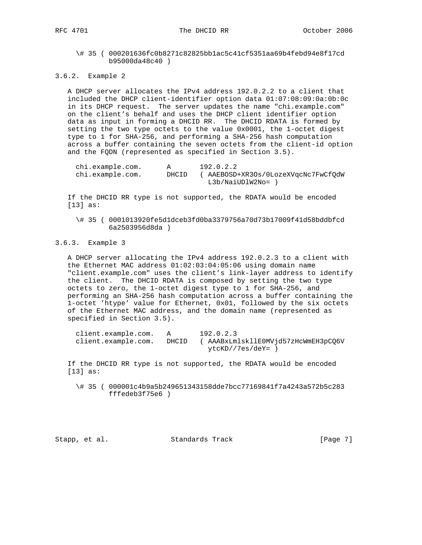\# 35 ( 000201636fc0b8271c82825bb1ac5c41cf5351aa69b4febd94e8f17cd b95000da48c40 )

3.6.2. Example 2

 A DHCP server allocates the IPv4 address 192.0.2.2 to a client that included the DHCP client-identifier option data 01:07:08:09:0a:0b:0c in its DHCP request. The server updates the name "chi.example.com" on the client's behalf and uses the DHCP client identifier option data as input in forming a DHCID RR. The DHCID RDATA is formed by setting the two type octets to the value 0x0001, the 1-octet digest type to 1 for SHA-256, and performing a SHA-256 hash computation across a buffer containing the seven octets from the client-id option and the FQDN (represented as specified in Section 3.5).

| chi.example.com. |       | 192.0.2.2                           |
|------------------|-------|-------------------------------------|
| chi.example.com. | DHCID | ( AAEBOSD+XR3Os/0LozeXVqcNc7FwCfOdW |
|                  |       | L3b/NaiUDlW2No=                     |

 If the DHCID RR type is not supported, the RDATA would be encoded [13] as:

 \# 35 ( 0001013920fe5d1dceb3fd0ba3379756a70d73b17009f41d58bddbfcd 6a2503956d8da )

# 3.6.3. Example 3

 A DHCP server allocating the IPv4 address 192.0.2.3 to a client with the Ethernet MAC address 01:02:03:04:05:06 using domain name "client.example.com" uses the client's link-layer address to identify the client. The DHCID RDATA is composed by setting the two type octets to zero, the 1-octet digest type to 1 for SHA-256, and performing an SHA-256 hash computation across a buffer containing the 1-octet 'htype' value for Ethernet, 0x01, followed by the six octets of the Ethernet MAC address, and the domain name (represented as specified in Section 3.5).

| client.example.com. |       | 192.0.2.3                           |
|---------------------|-------|-------------------------------------|
| client.example.com. | DHCID | ( AAABxLmlskllEOMVid57zHcWmEH3pCO6V |
|                     |       | ytcKD//7es/deY= ,                   |

 If the DHCID RR type is not supported, the RDATA would be encoded [13] as:

 \# 35 ( 000001c4b9a5b249651343158dde7bcc77169841f7a4243a572b5c283 fffedeb3f75e6 )

Stapp, et al. Standards Track [Page 7]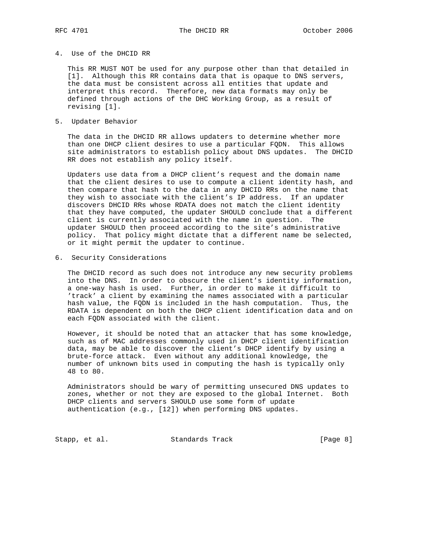### 4. Use of the DHCID RR

 This RR MUST NOT be used for any purpose other than that detailed in [1]. Although this RR contains data that is opaque to DNS servers, the data must be consistent across all entities that update and interpret this record. Therefore, new data formats may only be defined through actions of the DHC Working Group, as a result of revising [1].

### 5. Updater Behavior

 The data in the DHCID RR allows updaters to determine whether more than one DHCP client desires to use a particular FQDN. This allows site administrators to establish policy about DNS updates. The DHCID RR does not establish any policy itself.

 Updaters use data from a DHCP client's request and the domain name that the client desires to use to compute a client identity hash, and then compare that hash to the data in any DHCID RRs on the name that they wish to associate with the client's IP address. If an updater discovers DHCID RRs whose RDATA does not match the client identity that they have computed, the updater SHOULD conclude that a different client is currently associated with the name in question. The updater SHOULD then proceed according to the site's administrative policy. That policy might dictate that a different name be selected, or it might permit the updater to continue.

6. Security Considerations

 The DHCID record as such does not introduce any new security problems into the DNS. In order to obscure the client's identity information, a one-way hash is used. Further, in order to make it difficult to 'track' a client by examining the names associated with a particular hash value, the FQDN is included in the hash computation. Thus, the RDATA is dependent on both the DHCP client identification data and on each FQDN associated with the client.

 However, it should be noted that an attacker that has some knowledge, such as of MAC addresses commonly used in DHCP client identification data, may be able to discover the client's DHCP identify by using a brute-force attack. Even without any additional knowledge, the number of unknown bits used in computing the hash is typically only 48 to 80.

 Administrators should be wary of permitting unsecured DNS updates to zones, whether or not they are exposed to the global Internet. Both DHCP clients and servers SHOULD use some form of update authentication (e.g., [12]) when performing DNS updates.

Stapp, et al. Standards Track [Page 8]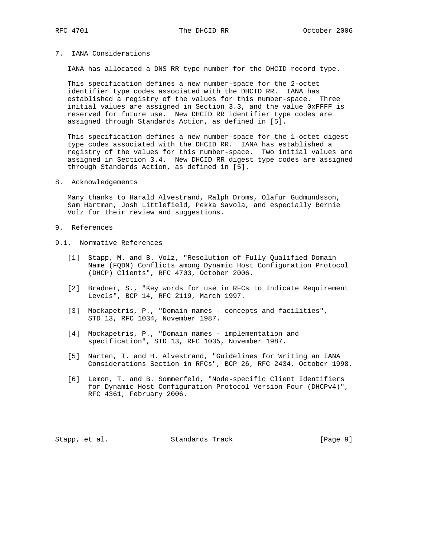### 7. IANA Considerations

IANA has allocated a DNS RR type number for the DHCID record type.

 This specification defines a new number-space for the 2-octet identifier type codes associated with the DHCID RR. IANA has established a registry of the values for this number-space. Three initial values are assigned in Section 3.3, and the value 0xFFFF is reserved for future use. New DHCID RR identifier type codes are assigned through Standards Action, as defined in [5].

 This specification defines a new number-space for the 1-octet digest type codes associated with the DHCID RR. IANA has established a registry of the values for this number-space. Two initial values are assigned in Section 3.4. New DHCID RR digest type codes are assigned through Standards Action, as defined in [5].

#### 8. Acknowledgements

 Many thanks to Harald Alvestrand, Ralph Droms, Olafur Gudmundsson, Sam Hartman, Josh Littlefield, Pekka Savola, and especially Bernie Volz for their review and suggestions.

- 9. References
- 9.1. Normative References
	- [1] Stapp, M. and B. Volz, "Resolution of Fully Qualified Domain Name (FQDN) Conflicts among Dynamic Host Configuration Protocol (DHCP) Clients", RFC 4703, October 2006.
	- [2] Bradner, S., "Key words for use in RFCs to Indicate Requirement Levels", BCP 14, RFC 2119, March 1997.
	- [3] Mockapetris, P., "Domain names concepts and facilities", STD 13, RFC 1034, November 1987.
	- [4] Mockapetris, P., "Domain names implementation and specification", STD 13, RFC 1035, November 1987.
	- [5] Narten, T. and H. Alvestrand, "Guidelines for Writing an IANA Considerations Section in RFCs", BCP 26, RFC 2434, October 1998.
	- [6] Lemon, T. and B. Sommerfeld, "Node-specific Client Identifiers for Dynamic Host Configuration Protocol Version Four (DHCPv4)", RFC 4361, February 2006.

Stapp, et al. Standards Track [Page 9]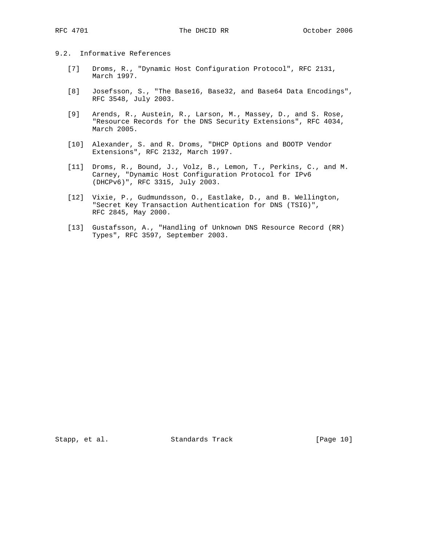# 9.2. Informative References

- [7] Droms, R., "Dynamic Host Configuration Protocol", RFC 2131, March 1997.
- [8] Josefsson, S., "The Base16, Base32, and Base64 Data Encodings", RFC 3548, July 2003.
- [9] Arends, R., Austein, R., Larson, M., Massey, D., and S. Rose, "Resource Records for the DNS Security Extensions", RFC 4034, March 2005.
- [10] Alexander, S. and R. Droms, "DHCP Options and BOOTP Vendor Extensions", RFC 2132, March 1997.
- [11] Droms, R., Bound, J., Volz, B., Lemon, T., Perkins, C., and M. Carney, "Dynamic Host Configuration Protocol for IPv6 (DHCPv6)", RFC 3315, July 2003.
- [12] Vixie, P., Gudmundsson, O., Eastlake, D., and B. Wellington, "Secret Key Transaction Authentication for DNS (TSIG)", RFC 2845, May 2000.
- [13] Gustafsson, A., "Handling of Unknown DNS Resource Record (RR) Types", RFC 3597, September 2003.

Stapp, et al. Standards Track [Page 10]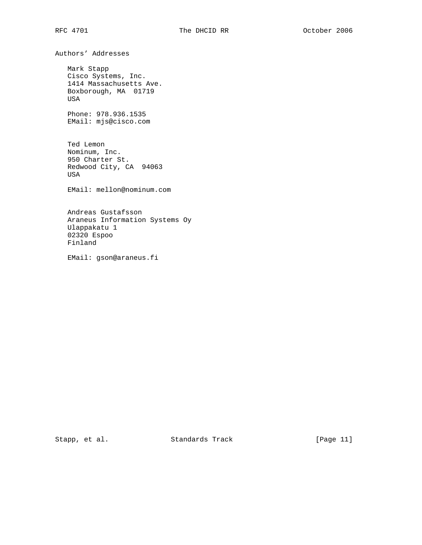Authors' Addresses

 Mark Stapp Cisco Systems, Inc. 1414 Massachusetts Ave. Boxborough, MA 01719 USA

 Phone: 978.936.1535 EMail: mjs@cisco.com

 Ted Lemon Nominum, Inc. 950 Charter St. Redwood City, CA 94063 USA

EMail: mellon@nominum.com

 Andreas Gustafsson Araneus Information Systems Oy Ulappakatu 1 02320 Espoo Finland

EMail: gson@araneus.fi

Stapp, et al. Standards Track [Page 11]